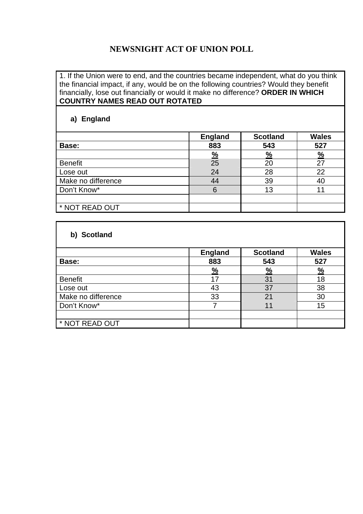## **NEWSNIGHT ACT OF UNION POLL**

1. If the Union were to end, and the countries became independent, what do you think the financial impact, if any, would be on the following countries? Would they benefit financially, lose out financially or would it make no difference? **ORDER IN WHICH COUNTRY NAMES READ OUT ROTATED** 

### **a) England**

|                    | <b>England</b> | <b>Scotland</b> | <b>Wales</b>  |
|--------------------|----------------|-----------------|---------------|
| Base:              | 883            | 543             | 527           |
|                    | $\frac{9}{6}$  | $\frac{9}{6}$   | $\frac{9}{6}$ |
| <b>Benefit</b>     | 25             | 20              | 27            |
| Lose out           | 24             | 28              | 22            |
| Make no difference | 44             | 39              | 40            |
| Don't Know*        | 6              | 13              |               |
|                    |                |                 |               |
| * NOT READ OUT     |                |                 |               |

| b) Scotland        |                |                 |               |
|--------------------|----------------|-----------------|---------------|
|                    | <b>England</b> | <b>Scotland</b> | <b>Wales</b>  |
| Base:              | 883            | 543             | 527           |
|                    | $\frac{9}{6}$  | $\frac{0}{2}$   | $\frac{9}{6}$ |
| <b>Benefit</b>     | 17             | 31              | 18            |
| Lose out           | 43             | 37              | 38            |
| Make no difference | 33             | 21              | 30            |
| Don't Know*        |                | 11              | 15            |
|                    |                |                 |               |
| * NOT READ OUT     |                |                 |               |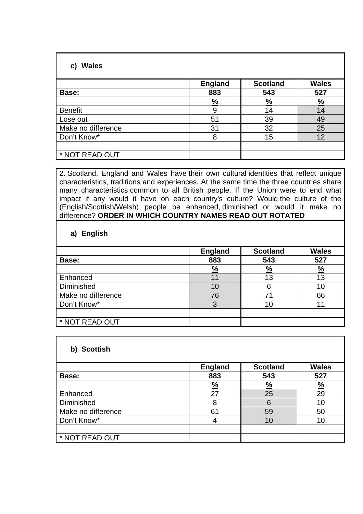## **c) Wales**

|                    | <b>England</b> | <b>Scotland</b> | <b>Wales</b> |
|--------------------|----------------|-----------------|--------------|
| Base:              | 883            | 543             | 527          |
|                    | %              | $\frac{0}{0}$   | %            |
| <b>Benefit</b>     |                |                 | 14           |
| Lose out           | 51             | 39              | 49           |
| Make no difference | 31             | 32              | 25           |
| Don't Know*        |                | 15              | 12           |
|                    |                |                 |              |
| * NOT READ OUT     |                |                 |              |

2. Scotland, England and Wales have their own cultural identities that reflect unique characteristics, traditions and experiences. At the same time the three countries share many characteristics common to all British people. If the Union were to end what impact if any would it have on each country's culture? Would the culture of the (English/Scottish/Welsh) people be enhanced, diminished or would it make no difference? **ORDER IN WHICH COUNTRY NAMES READ OUT ROTATED** 

#### **a) English**

|                    | <b>England</b> | <b>Scotland</b> | <b>Wales</b>  |
|--------------------|----------------|-----------------|---------------|
| Base:              | 883            | 543             | 527           |
|                    | <u>%</u>       | %               | $\frac{9}{6}$ |
| Enhanced           |                |                 | 13            |
| Diminished         | 10             |                 | 10            |
| Make no difference | 76             |                 | 66            |
| Don't Know*        | 3              |                 | 11            |
|                    |                |                 |               |
| * NOT READ OUT     |                |                 |               |

| <b>Scottish</b><br>b) |                |                 |               |
|-----------------------|----------------|-----------------|---------------|
|                       | <b>England</b> | <b>Scotland</b> | <b>Wales</b>  |
| Base:                 | 883            | 543             | 527           |
|                       | $\frac{0}{2}$  | $\frac{9}{6}$   | $\frac{9}{6}$ |
| Enhanced              | 27             | 25              | 29            |
| Diminished            | 8              | 6               | 10            |
| Make no difference    | 61             | 59              | 50            |
| Don't Know*           | 4              | 10              | 10            |
|                       |                |                 |               |
| * NOT READ OUT        |                |                 |               |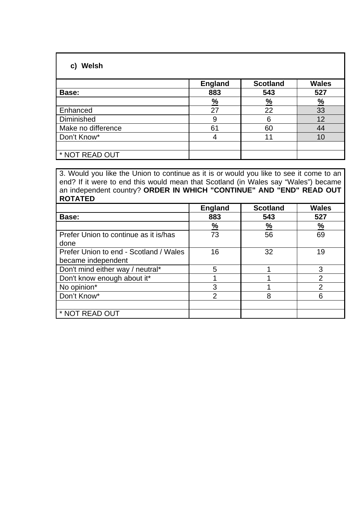# **c) Welsh**

|                    | <b>England</b> | <b>Scotland</b> | <b>Wales</b> |
|--------------------|----------------|-----------------|--------------|
| Base:              | 883            | 543             | 527          |
|                    | %              | $\%$            | %            |
| Enhanced           | 27             | 22              | 33           |
| Diminished         | 9              |                 | 12           |
| Make no difference | 61             | 60              | 44           |
| Don't Know*        |                |                 | 10           |
|                    |                |                 |              |
| * NOT READ OUT     |                |                 |              |

3. Would you like the Union to continue as it is or would you like to see it come to an end? If it were to end this would mean that Scotland (in Wales say "Wales") became an independent country? **ORDER IN WHICH "CONTINUE" AND "END" READ OUT ROTATED**

|                                        | <b>England</b> | <b>Scotland</b> | <b>Wales</b>  |
|----------------------------------------|----------------|-----------------|---------------|
| Base:                                  | 883            | 543             | 527           |
|                                        | $\frac{9}{6}$  | $\frac{9}{6}$   | $\frac{9}{6}$ |
| Prefer Union to continue as it is/has  | 73             | 56              | 69            |
| done                                   |                |                 |               |
| Prefer Union to end - Scotland / Wales | 16             | 32              | 19            |
| became independent                     |                |                 |               |
| Don't mind either way / neutral*       | 5              |                 | 3             |
| Don't know enough about it*            |                |                 | 2             |
| No opinion $\overline{a}$              | 3              |                 | 2             |
| Don't Know*                            | $\mathfrak{p}$ | 8               | 6             |
|                                        |                |                 |               |
| * NOT READ OUT                         |                |                 |               |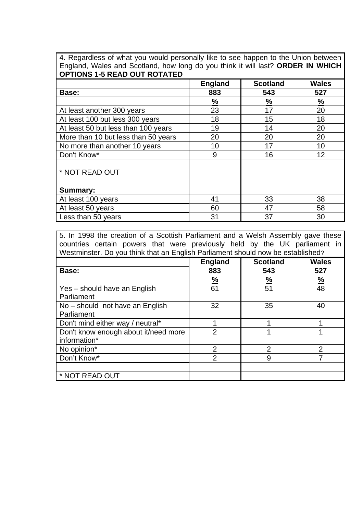4. Regardless of what you would personally like to see happen to the Union between England, Wales and Scotland, how long do you think it will last? **ORDER IN WHICH OPTIONS 1-5 READ OUT ROTATED**

|                                     | <b>England</b> | <b>Scotland</b> | <b>Wales</b>  |
|-------------------------------------|----------------|-----------------|---------------|
| Base:                               | 883            | 543             | 527           |
|                                     | $\frac{9}{6}$  | $\frac{9}{6}$   | $\frac{9}{6}$ |
| At least another 300 years          | 23             | 17              | 20            |
| At least 100 but less 300 years     | 18             | 15              | 18            |
| At least 50 but less than 100 years | 19             | 14              | 20            |
| More than 10 but less than 50 years | 20             | 20              | 20            |
| No more than another 10 years       | 10             | 17              | 10            |
| Don't Know*                         | 9              | 16              | 12            |
|                                     |                |                 |               |
| * NOT READ OUT                      |                |                 |               |
|                                     |                |                 |               |
| <b>Summary:</b>                     |                |                 |               |
| At least 100 years                  | 41             | 33              | 38            |
| At least 50 years                   | 60             | 47              | 58            |
| Less than 50 years                  | 31             | 37              | 30            |

5. In 1998 the creation of a Scottish Parliament and a Welsh Assembly gave these countries certain powers that were previously held by the UK parliament in Westminster. Do you think that an English Parliament should now be established?

|                                      | <b>England</b> | <b>Scotland</b> | <b>Wales</b>  |
|--------------------------------------|----------------|-----------------|---------------|
| Base:                                | 883            | 543             | 527           |
|                                      | %              | %               | $\frac{0}{2}$ |
| Yes – should have an English         | 61             | 51              | 48            |
| Parliament                           |                |                 |               |
| No – should not have an English      | 32             | 35              | 40            |
| Parliament                           |                |                 |               |
| Don't mind either way / neutral*     |                |                 |               |
| Don't know enough about it/need more | $\mathcal{P}$  |                 |               |
| information*                         |                |                 |               |
| No opinion*                          | $\overline{2}$ | 2               | 2             |
| Don't Know*                          | $\overline{2}$ | 9               | 7             |
|                                      |                |                 |               |
| * NOT READ OUT                       |                |                 |               |